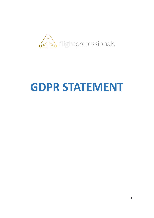

## **GDPR STATEMENT**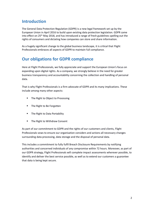## **Introduction**

The General Data Protection Regulation (GDPR) is a new legal framework set up by the European Union in April 2016 to build upon existing data protection legislation. GDPR came into effect on 25<sup>th</sup> May 2018, and has introduced a range of fresh guidelines spelling out the rights of consumers and dictating how companies can store and share information.

As a hugely significant change to the global business landscape, it is critical that Flight Professionals embraces all aspects of GDPR to maintain full compliance.

## **Our obligations for GDPR compliance**

Here at Flight Professionals, we fully appreciate and support the European Union's focus on expanding upon digital rights. As a company, we strongly believe in the need for greater business transparency and accountability concerning the collection and handling of personal data.

That is why Flight Professionals is a firm advocate of GDPR and its many implications. These include among many other aspects:

- The Right to Object to Processing
- The Right to Be Forgotten
- The Right to Data Portability
- The Right to Withdraw Consent

As part of our commitment to GDPR and the rights of our customers and clients, Flight Professionals vows to ensure our organisation considers and actions all necessary changes surrounding data processing, data storage and the disposal of personal data.

This includes a commitment to fully fulfil Breach Disclosure Requirements by notifying authorities and concerned individuals of any compromise within 72 hours. Moreover, as part of our GDPR strategy, Flight Professionals will complete impact assessments wherever possible, to identify and deliver the best service possible, as well as to extend our customers a guarantee that data is being kept secure.